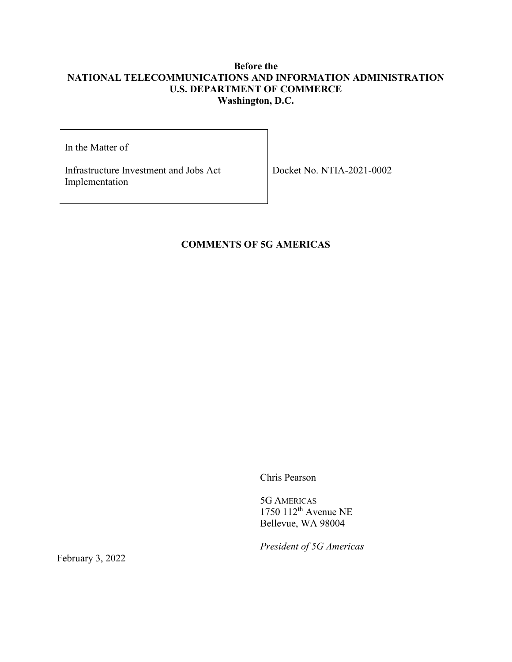## **Before the NATIONAL TELECOMMUNICATIONS AND INFORMATION ADMINISTRATION U.S. DEPARTMENT OF COMMERCE Washington, D.C.**

In the Matter of

Infrastructure Investment and Jobs Act Implementation

Docket No. NTIA-2021-0002

# **COMMENTS OF 5G AMERICAS**

Chris Pearson

5G AMERICAS 1750 112th Avenue NE Bellevue, WA 98004

*President of 5G Americas*

February 3, 2022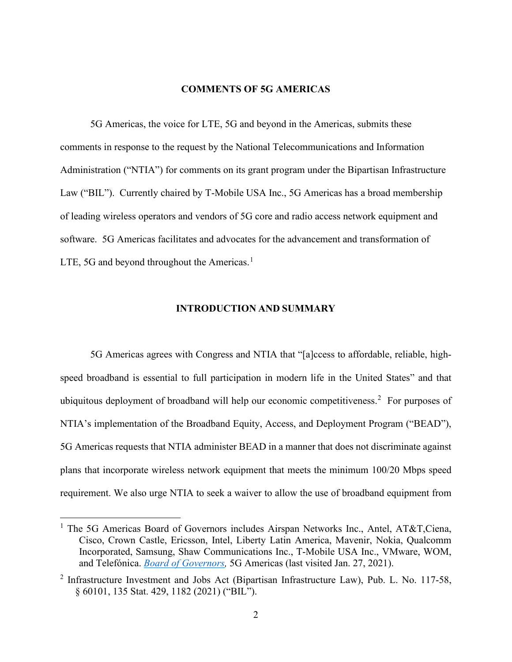#### **COMMENTS OF 5G AMERICAS**

5G Americas, the voice for LTE, 5G and beyond in the Americas, submits these comments in response to the request by the National Telecommunications and Information Administration ("NTIA") for comments on its grant program under the Bipartisan Infrastructure Law ("BIL"). Currently chaired by T-Mobile USA Inc., 5G Americas has a broad membership of leading wireless operators and vendors of 5G core and radio access network equipment and software. 5G Americas facilitates and advocates for the advancement and transformation of LTE, 5G and beyond throughout the Americas.<sup>[1](#page-1-0)</sup>

### **INTRODUCTION AND SUMMARY**

5G Americas agrees with Congress and NTIA that "[a]ccess to affordable, reliable, highspeed broadband is essential to full participation in modern life in the United States" and that ubiquitous deployment of broadband will help our economic competitiveness.<sup>[2](#page-1-1)</sup> For purposes of NTIA's implementation of the Broadband Equity, Access, and Deployment Program ("BEAD"), 5G Americas requests that NTIA administer BEAD in a manner that does not discriminate against plans that incorporate wireless network equipment that meets the minimum 100/20 Mbps speed requirement. We also urge NTIA to seek a waiver to allow the use of broadband equipment from

<span id="page-1-0"></span><sup>&</sup>lt;sup>1</sup> The 5G Americas Board of Governors includes Airspan Networks Inc., Antel, AT&T, Ciena, Cisco, Crown Castle, Ericsson, Intel, Liberty Latin America, Mavenir, Nokia, Qualcomm Incorporated, Samsung, Shaw Communications Inc., T-Mobile USA Inc., VMware, WOM, and Telefónica. *[Board of Governors,](https://www.5gamericas.org/about/board-of-governors/)* 5G Americas (last visited Jan. 27, 2021).

<span id="page-1-1"></span><sup>&</sup>lt;sup>2</sup> Infrastructure Investment and Jobs Act (Bipartisan Infrastructure Law), Pub. L. No. 117-58, § 60101, 135 Stat. 429, 1182 (2021) ("BIL").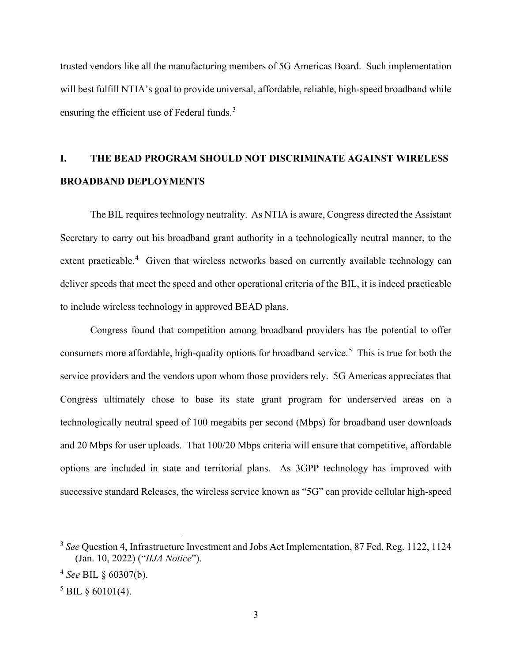trusted vendors like all the manufacturing members of 5G Americas Board. Such implementation will best fulfill NTIA's goal to provide universal, affordable, reliable, high-speed broadband while ensuring the efficient use of Federal funds.<sup>[3](#page-2-0)</sup>

# **I. THE BEAD PROGRAM SHOULD NOT DISCRIMINATE AGAINST WIRELESS BROADBAND DEPLOYMENTS**

The BIL requires technology neutrality. As NTIA is aware, Congress directed the Assistant Secretary to carry out his broadband grant authority in a technologically neutral manner, to the extent practicable.<sup>[4](#page-2-1)</sup> Given that wireless networks based on currently available technology can deliver speeds that meet the speed and other operational criteria of the BIL, it is indeed practicable to include wireless technology in approved BEAD plans.

Congress found that competition among broadband providers has the potential to offer consumers more affordable, high-quality options for broadband service.<sup>[5](#page-2-2)</sup> This is true for both the service providers and the vendors upon whom those providers rely. 5G Americas appreciates that Congress ultimately chose to base its state grant program for underserved areas on a technologically neutral speed of 100 megabits per second (Mbps) for broadband user downloads and 20 Mbps for user uploads. That 100/20 Mbps criteria will ensure that competitive, affordable options are included in state and territorial plans. As 3GPP technology has improved with successive standard Releases, the wireless service known as "5G" can provide cellular high-speed

<span id="page-2-0"></span><sup>3</sup> *See* Question 4, Infrastructure Investment and Jobs Act Implementation, 87 Fed. Reg. 1122, 1124 (Jan. 10, 2022) ("*IIJA Notice*").

<span id="page-2-1"></span><sup>4</sup> *See* BIL § 60307(b).

<span id="page-2-2"></span> $5$  BIL  $\frac{60101(4)}{4}$ .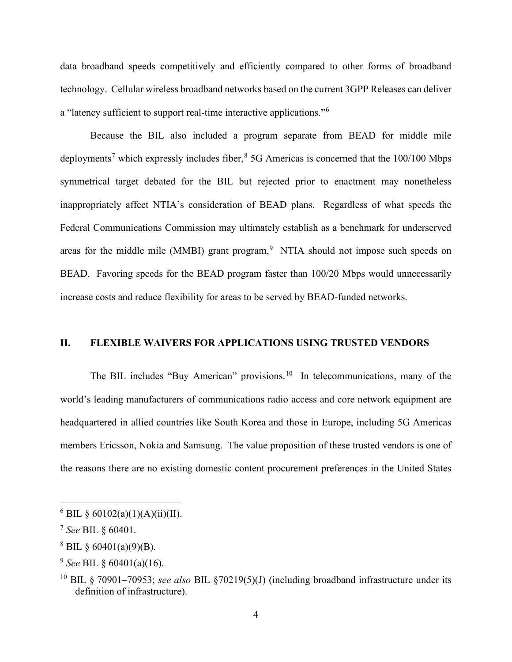data broadband speeds competitively and efficiently compared to other forms of broadband technology. Cellular wireless broadband networks based on the current 3GPP Releases can deliver a "latency sufficient to support real-time interactive applications."[6](#page-3-0)

Because the BIL also included a program separate from BEAD for middle mile deployments<sup>[7](#page-3-1)</sup> which expressly includes fiber,  $8\,$  $8\,$  5G Americas is concerned that the 100/100 Mbps symmetrical target debated for the BIL but rejected prior to enactment may nonetheless inappropriately affect NTIA's consideration of BEAD plans. Regardless of what speeds the Federal Communications Commission may ultimately establish as a benchmark for underserved areas for the middle mile (MMBI) grant program, $9$  NTIA should not impose such speeds on BEAD. Favoring speeds for the BEAD program faster than 100/20 Mbps would unnecessarily increase costs and reduce flexibility for areas to be served by BEAD-funded networks.

### **II. FLEXIBLE WAIVERS FOR APPLICATIONS USING TRUSTED VENDORS**

The BIL includes "Buy American" provisions.<sup>10</sup> In telecommunications, many of the world's leading manufacturers of communications radio access and core network equipment are headquartered in allied countries like South Korea and those in Europe, including 5G Americas members Ericsson, Nokia and Samsung. The value proposition of these trusted vendors is one of the reasons there are no existing domestic content procurement preferences in the United States

<span id="page-3-0"></span> $6$  BIL § 60102(a)(1)(A)(ii)(II).

<span id="page-3-1"></span><sup>7</sup> *See* BIL § 60401.

<span id="page-3-2"></span> $8$  BIL  $\frac{60401(a)(9)(B)}{2}$ .

<span id="page-3-3"></span><sup>9</sup> *See* BIL § 60401(a)(16).

<span id="page-3-4"></span><sup>10</sup> BIL § 70901–70953; *see also* BIL §70219(5)(J) (including broadband infrastructure under its definition of infrastructure).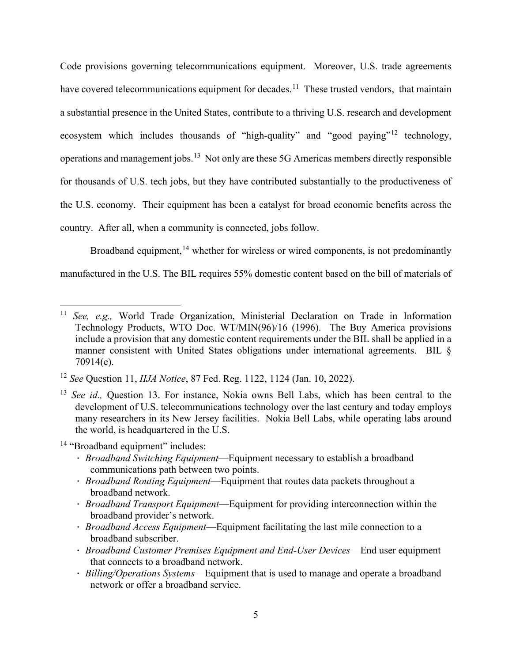Code provisions governing telecommunications equipment. Moreover, U.S. trade agreements have covered telecommunications equipment for decades.<sup>[11](#page-4-0)</sup> These trusted vendors, that maintain a substantial presence in the United States, contribute to a thriving U.S. research and development ecosystem which includes thousands of "high-quality" and "good paying"<sup>[12](#page-4-1)</sup> technology, operations and management jobs.<sup>[13](#page-4-2)</sup> Not only are these 5G Americas members directly responsible for thousands of U.S. tech jobs, but they have contributed substantially to the productiveness of the U.S. economy. Their equipment has been a catalyst for broad economic benefits across the country. After all, when a community is connected, jobs follow.

Broadband equipment, <sup>[14](#page-4-3)</sup> whether for wireless or wired components, is not predominantly manufactured in the U.S. The BIL requires 55% domestic content based on the bill of materials of

<span id="page-4-3"></span><sup>14</sup> "Broadband equipment" includes:

- ∙ *Broadband Switching Equipment*—Equipment necessary to establish a broadband communications path between two points.
- ∙ *Broadband Routing Equipment*—Equipment that routes data packets throughout a broadband network.
- ∙ *Broadband Transport Equipment*—Equipment for providing interconnection within the broadband provider's network.
- ∙ *Broadband Access Equipment*—Equipment facilitating the last mile connection to a broadband subscriber.
- ∙ *Broadband Customer Premises Equipment and End-User Devices*—End user equipment that connects to a broadband network.
- ∙ *Billing/Operations Systems*—Equipment that is used to manage and operate a broadband network or offer a broadband service.

<span id="page-4-0"></span><sup>11</sup> *See, e.g.,* World Trade Organization, Ministerial Declaration on Trade in Information Technology Products, WTO Doc. WT/MIN(96)/16 (1996). The Buy America provisions include a provision that any domestic content requirements under the BIL shall be applied in a manner consistent with United States obligations under international agreements. BIL § 70914(e).

<span id="page-4-1"></span><sup>12</sup> *See* Question 11, *IIJA Notice*, 87 Fed. Reg. 1122, 1124 (Jan. 10, 2022).

<span id="page-4-2"></span><sup>13</sup> *See id*.*,* Question 13. For instance, Nokia owns Bell Labs, which has been central to the development of U.S. telecommunications technology over the last century and today employs many researchers in its New Jersey facilities. Nokia Bell Labs, while operating labs around the world, is headquartered in the U.S.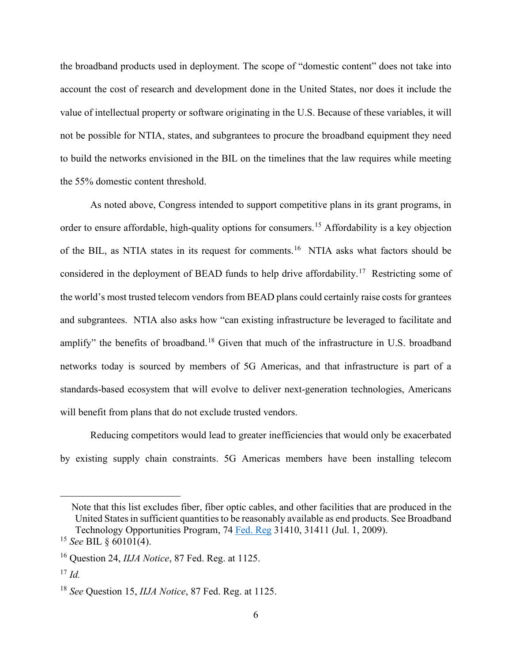the broadband products used in deployment. The scope of "domestic content" does not take into account the cost of research and development done in the United States, nor does it include the value of intellectual property or software originating in the U.S. Because of these variables, it will not be possible for NTIA, states, and subgrantees to procure the broadband equipment they need to build the networks envisioned in the BIL on the timelines that the law requires while meeting the 55% domestic content threshold.

As noted above, Congress intended to support competitive plans in its grant programs, in order to ensure affordable, high-quality options for consumers.[15](#page-5-0) Affordability is a key objection of the BIL, as NTIA states in its request for comments.[16](#page-5-1) NTIA asks what factors should be considered in the deployment of BEAD funds to help drive affordability.[17](#page-5-2) Restricting some of the world's most trusted telecom vendors from BEAD plans could certainly raise costs for grantees and subgrantees. NTIA also asks how "can existing infrastructure be leveraged to facilitate and amplify" the benefits of broadband.<sup>[18](#page-5-3)</sup> Given that much of the infrastructure in U.S. broadband networks today is sourced by members of 5G Americas, and that infrastructure is part of a standards-based ecosystem that will evolve to deliver next-generation technologies, Americans will benefit from plans that do not exclude trusted vendors.

Reducing competitors would lead to greater inefficiencies that would only be exacerbated by existing supply chain constraints. 5G Americas members have been installing telecom

Note that this list excludes fiber, fiber optic cables, and other facilities that are produced in the United States in sufficient quantities to be reasonably available as end products. See Broadband Technology Opportunities Program, 74 [Fed.](https://www.ntia.doc.gov/legacy/frnotices/2009/FR_BroadbandBuyAmericanNotice_090701.pdf) Reg 31410, 31411 (Jul. 1, 2009).

<span id="page-5-0"></span><sup>15</sup> *See* BIL § 60101(4).

<span id="page-5-1"></span><sup>16</sup> Question 24, *IIJA Notice*, 87 Fed. Reg. at 1125.

<span id="page-5-2"></span><sup>17</sup> *Id.*

<span id="page-5-3"></span><sup>18</sup> *See* Question 15, *IIJA Notice*, 87 Fed. Reg. at 1125.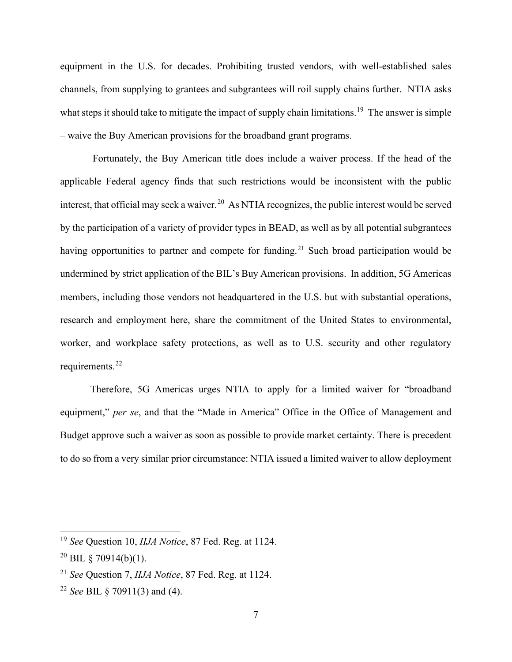equipment in the U.S. for decades. Prohibiting trusted vendors, with well-established sales channels, from supplying to grantees and subgrantees will roil supply chains further. NTIA asks what steps it should take to mitigate the impact of supply chain limitations.<sup>[19](#page-6-0)</sup> The answer is simple – waive the Buy American provisions for the broadband grant programs.

Fortunately, the Buy American title does include a waiver process. If the head of the applicable Federal agency finds that such restrictions would be inconsistent with the public interest, that official may seek a waiver.<sup>[20](#page-6-1)</sup> As NTIA recognizes, the public interest would be served by the participation of a variety of provider types in BEAD, as well as by all potential subgrantees having opportunities to partner and compete for funding.<sup>[21](#page-6-2)</sup> Such broad participation would be undermined by strict application of the BIL's Buy American provisions. In addition, 5G Americas members, including those vendors not headquartered in the U.S. but with substantial operations, research and employment here, share the commitment of the United States to environmental, worker, and workplace safety protections, as well as to U.S. security and other regulatory requirements.<sup>[22](#page-6-3)</sup>

Therefore, 5G Americas urges NTIA to apply for a limited waiver for "broadband equipment," *per se*, and that the "Made in America" Office in the Office of Management and Budget approve such a waiver as soon as possible to provide market certainty. There is precedent to do so from a very similar prior circumstance: NTIA issued a limited waiver to allow deployment

<span id="page-6-0"></span><sup>19</sup> *See* Question 10, *IIJA Notice*, 87 Fed. Reg. at 1124.

<span id="page-6-1"></span> $^{20}$  BIL § 70914(b)(1).

<span id="page-6-2"></span><sup>21</sup> *See* Question 7, *IIJA Notice*, 87 Fed. Reg. at 1124.

<span id="page-6-3"></span><sup>22</sup> *See* BIL § 70911(3) and (4).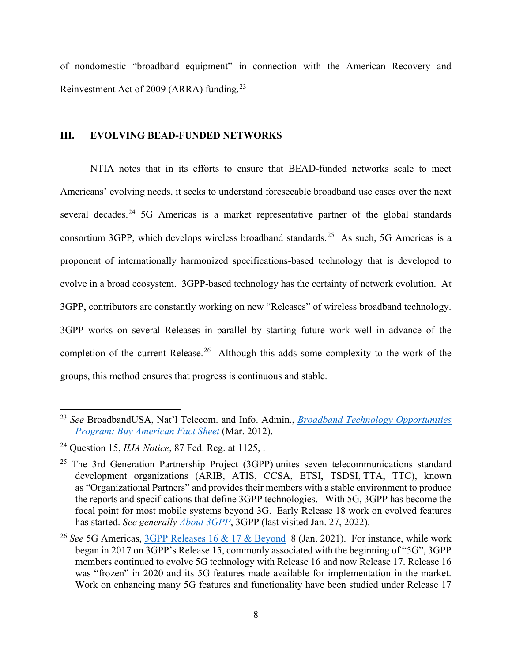of nondomestic "broadband equipment" in connection with the American Recovery and Reinvestment Act of 2009 (ARRA) funding.[23](#page-7-0)

### **III. EVOLVING BEAD-FUNDED NETWORKS**

NTIA notes that in its efforts to ensure that BEAD-funded networks scale to meet Americans' evolving needs, it seeks to understand foreseeable broadband use cases over the next several decades.<sup>[24](#page-7-1)</sup> 5G Americas is a market representative partner of the global standards consortium 3GPP, which develops wireless broadband standards.<sup>25</sup> As such, 5G Americas is a proponent of internationally harmonized specifications-based technology that is developed to evolve in a broad ecosystem. 3GPP-based technology has the certainty of network evolution. At 3GPP, contributors are constantly working on new "Releases" of wireless broadband technology. 3GPP works on several Releases in parallel by starting future work well in advance of the completion of the current Release.<sup>[26](#page-7-3)</sup> Although this adds some complexity to the work of the groups, this method ensures that progress is continuous and stable.

<span id="page-7-0"></span><sup>23</sup> *See* BroadbandUSA, Nat'l Telecom. and Info. Admin., *[Broadband Technology Opportunities](https://www2.ntia.doc.gov/files/BuyAmericanFactSheet_Final_010312.pdf)  Program: [Buy American Fact Sheet](https://www2.ntia.doc.gov/files/BuyAmericanFactSheet_Final_010312.pdf)* (Mar. 2012).

<span id="page-7-1"></span><sup>24</sup> Question 15, *IIJA Notice*, 87 Fed. Reg. at 1125, .

<span id="page-7-2"></span> $25$  The 3rd Generation Partnership Project (3GPP) unites seven telecommunications standard development organizations (ARIB, ATIS, CCSA, ETSI, TSDSI, TTA, TTC), known as "Organizational Partners" and provides their members with a stable environment to produce the reports and specifications that define 3GPP technologies. With 5G, 3GPP has become the focal point for most mobile systems beyond 3G. Early Release 18 work on evolved features has started. *See generally [About 3GPP](https://www.3gpp.org/about-3gpp#:%7E:text=The%203rd%20Generation%20Partnership%20Project,Specifications%20that%20define%203GPP%20technologies.)*, 3GPP (last visited Jan. 27, 2022).

<span id="page-7-3"></span><sup>&</sup>lt;sup>26</sup> See 5G Americas, [3GPP Releases 16 & 17 & Beyond](https://www.5gamericas.org/wp-content/uploads/2021/01/InDesign-3GPP-Rel-16-17-2021.pdfFor) 8 (Jan. 2021). For instance, while work began in 2017 on 3GPP's Release 15, commonly associated with the beginning of "5G", 3GPP members continued to evolve 5G technology with Release 16 and now Release 17. Release 16 was "frozen" in 2020 and its 5G features made available for implementation in the market. Work on enhancing many 5G features and functionality have been studied under Release 17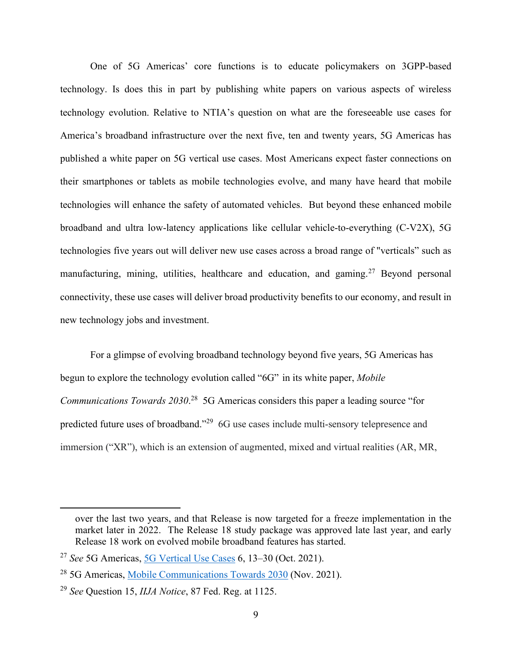One of 5G Americas' core functions is to educate policymakers on 3GPP-based technology. Is does this in part by publishing white papers on various aspects of wireless technology evolution. Relative to NTIA's question on what are the foreseeable use cases for America's broadband infrastructure over the next five, ten and twenty years, 5G Americas has published a white paper on 5G vertical use cases. Most Americans expect faster connections on their smartphones or tablets as mobile technologies evolve, and many have heard that mobile technologies will enhance the safety of automated vehicles. But beyond these enhanced mobile broadband and ultra low-latency applications like cellular vehicle-to-everything (C-V2X), 5G technologies five years out will deliver new use cases across a broad range of "verticals" such as manufacturing, mining, utilities, healthcare and education, and gaming.<sup>[27](#page-8-0)</sup> Beyond personal connectivity, these use cases will deliver broad productivity benefits to our economy, and result in new technology jobs and investment.

For a glimpse of evolving broadband technology beyond five years, 5G Americas has begun to explore the technology evolution called "6G" in its white paper, *Mobile Communications Towards 2030*. [28](#page-8-1) 5G Americas considers this paper a leading source "for predicted future uses of broadband."<sup>[29](#page-8-2)</sup> 6G use cases include multi-sensory telepresence and immersion ("XR"), which is an extension of augmented, mixed and virtual realities (AR, MR,

over the last two years, and that Release is now targeted for a freeze implementation in the market later in 2022. The Release 18 study package was approved late last year, and early Release 18 work on evolved mobile broadband features has started.

<span id="page-8-0"></span><sup>27</sup> *See* 5G Americas, [5G Vertical Use Cases](https://www.5gamericas.org/wp-content/uploads/2021/10/5G-Vertical-Use-Cases-WP-InDesign.pdf) 6, 13–30 (Oct. 2021).

<span id="page-8-1"></span><sup>28</sup> 5G Americas, [Mobile Communications Towards 2030](https://www.5gamericas.org/mobile-communications-towards-2030/) (Nov. 2021).

<span id="page-8-2"></span><sup>29</sup> *See* Question 15, *IIJA Notice*, 87 Fed. Reg. at 1125.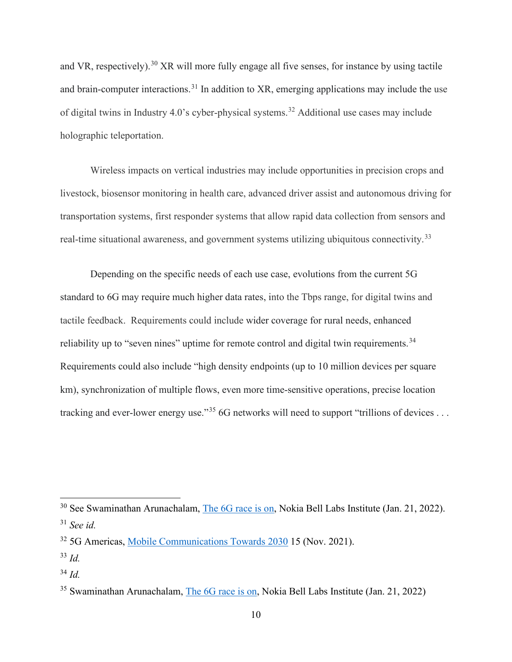and VR, respectively).<sup>[30](#page-9-0)</sup> XR will more fully engage all five senses, for instance by using tactile and brain-computer interactions.<sup>[31](#page-9-1)</sup> In addition to XR, emerging applications may include the use of digital twins in Industry 4.0's cyber-physical systems.[32](#page-9-2) Additional use cases may include holographic teleportation.

Wireless impacts on vertical industries may include opportunities in precision crops and livestock, biosensor monitoring in health care, advanced driver assist and autonomous driving for transportation systems, first responder systems that allow rapid data collection from sensors and real-time situational awareness, and government systems utilizing ubiquitous connectivity.<sup>[33](#page-9-3)</sup>

Depending on the specific needs of each use case, evolutions from the current 5G standard to 6G may require much higher data rates, into the Tbps range, for digital twins and tactile feedback. Requirements could include wider coverage for rural needs, enhanced reliability up to "seven nines" uptime for remote control and digital twin requirements.<sup>34</sup> Requirements could also include "high density endpoints (up to 10 million devices per square km), synchronization of multiple flows, even more time-sensitive operations, precise location tracking and ever-lower energy use."<sup>[35](#page-9-5)</sup> 6G networks will need to support "trillions of devices ...

<span id="page-9-0"></span><sup>&</sup>lt;sup>30</sup> See Swaminathan Arunachalam, [The 6G race is on,](https://www.bell-labs.com/institute/blog/the-6g-race-is-on/) Nokia Bell Labs Institute (Jan. 21, 2022). <sup>31</sup> *See id.*

<span id="page-9-2"></span><span id="page-9-1"></span><sup>&</sup>lt;sup>32</sup> 5G Americas, [Mobile Communications Towards 2030](https://www.5gamericas.org/mobile-communications-towards-2030/) 15 (Nov. 2021).

<span id="page-9-3"></span><sup>33</sup> *Id.*

<span id="page-9-4"></span><sup>34</sup> *Id.*

<span id="page-9-5"></span><sup>35</sup> Swaminathan Arunachalam, [The 6G race is on,](https://www.bell-labs.com/institute/blog/the-6g-race-is-on/) Nokia Bell Labs Institute (Jan. 21, 2022)